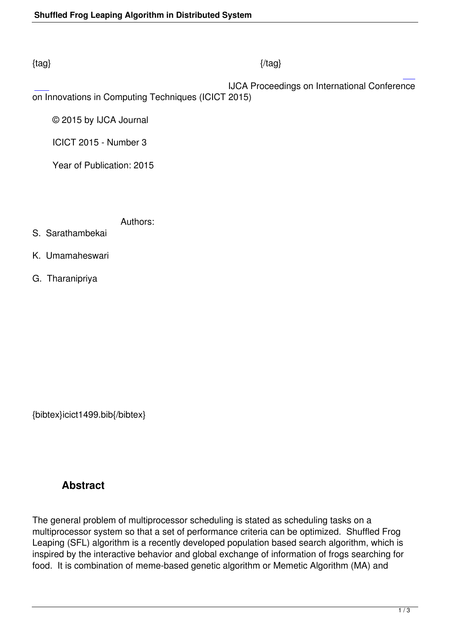## $\{tag\}$

 IJCA Proceedings on International Conference on Innovations in Computing Techniques (ICICT 2015)

© 2015 by IJCA Journal

ICICT 2015 - Number 3

Year of Publication: 2015

Authors:

- S. Sarathambekai
- K. Umamaheswari
- G. Tharanipriya

{bibtex}icict1499.bib{/bibtex}

## **Abstract**

The general problem of multiprocessor scheduling is stated as scheduling tasks on a multiprocessor system so that a set of performance criteria can be optimized. Shuffled Frog Leaping (SFL) algorithm is a recently developed population based search algorithm, which is inspired by the interactive behavior and global exchange of information of frogs searching for food. It is combination of meme-based genetic algorithm or Memetic Algorithm (MA) and